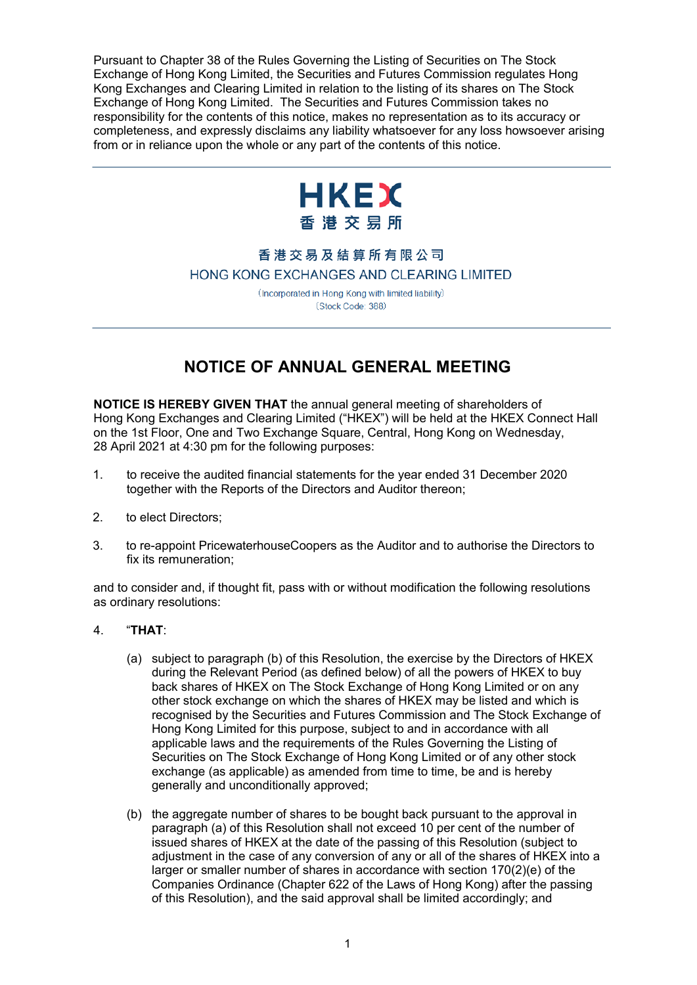Pursuant to Chapter 38 of the Rules Governing the Listing of Securities on The Stock Exchange of Hong Kong Limited, the Securities and Futures Commission regulates Hong Kong Exchanges and Clearing Limited in relation to the listing of its shares on The Stock Exchange of Hong Kong Limited. The Securities and Futures Commission takes no responsibility for the contents of this notice, makes no representation as to its accuracy or completeness, and expressly disclaims any liability whatsoever for any loss howsoever arising from or in reliance upon the whole or any part of the contents of this notice.



## 香港交易及結算所有限公司 HONG KONG EXCHANGES AND CLEARING LIMITED

(Incorporated in Hong Kong with limited liability) (Stock Code: 388)

# **NOTICE OF ANNUAL GENERAL MEETING**

**NOTICE IS HEREBY GIVEN THAT** the annual general meeting of shareholders of Hong Kong Exchanges and Clearing Limited ("HKEX") will be held at the HKEX Connect Hall on the 1st Floor, One and Two Exchange Square, Central, Hong Kong on Wednesday, 28 April 2021 at 4:30 pm for the following purposes:

- 1. to receive the audited financial statements for the year ended 31 December 2020 together with the Reports of the Directors and Auditor thereon;
- 2. to elect Directors;
- 3. to re-appoint PricewaterhouseCoopers as the Auditor and to authorise the Directors to fix its remuneration;

and to consider and, if thought fit, pass with or without modification the following resolutions as ordinary resolutions:

## 4. "**THAT**:

- (a) subject to paragraph (b) of this Resolution, the exercise by the Directors of HKEX during the Relevant Period (as defined below) of all the powers of HKEX to buy back shares of HKEX on The Stock Exchange of Hong Kong Limited or on any other stock exchange on which the shares of HKEX may be listed and which is recognised by the Securities and Futures Commission and The Stock Exchange of Hong Kong Limited for this purpose, subject to and in accordance with all applicable laws and the requirements of the Rules Governing the Listing of Securities on The Stock Exchange of Hong Kong Limited or of any other stock exchange (as applicable) as amended from time to time, be and is hereby generally and unconditionally approved;
- (b) the aggregate number of shares to be bought back pursuant to the approval in paragraph (a) of this Resolution shall not exceed 10 per cent of the number of issued shares of HKEX at the date of the passing of this Resolution (subject to adjustment in the case of any conversion of any or all of the shares of HKEX into a larger or smaller number of shares in accordance with section 170(2)(e) of the Companies Ordinance (Chapter 622 of the Laws of Hong Kong) after the passing of this Resolution), and the said approval shall be limited accordingly; and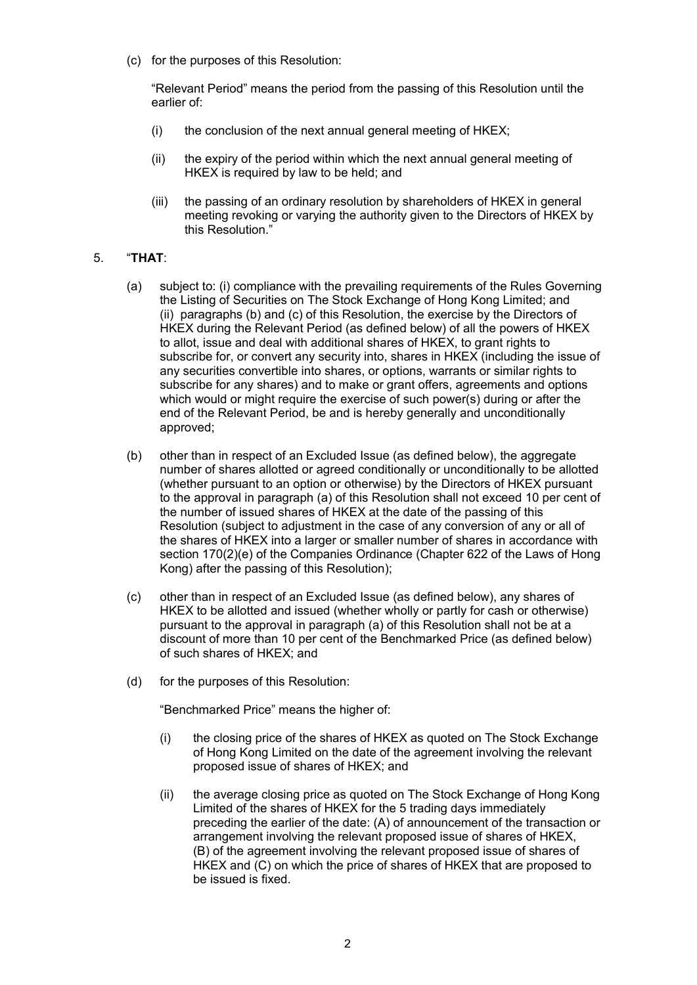(c) for the purposes of this Resolution:

"Relevant Period" means the period from the passing of this Resolution until the earlier of:

- $(i)$  the conclusion of the next annual general meeting of HKEX;
- (ii) the expiry of the period within which the next annual general meeting of HKEX is required by law to be held; and
- (iii) the passing of an ordinary resolution by shareholders of HKEX in general meeting revoking or varying the authority given to the Directors of HKEX by this Resolution."

## 5. "**THAT**:

- (a) subject to: (i) compliance with the prevailing requirements of the Rules Governing the Listing of Securities on The Stock Exchange of Hong Kong Limited; and (ii) paragraphs (b) and (c) of this Resolution, the exercise by the Directors of HKEX during the Relevant Period (as defined below) of all the powers of HKEX to allot, issue and deal with additional shares of HKEX, to grant rights to subscribe for, or convert any security into, shares in HKEX (including the issue of any securities convertible into shares, or options, warrants or similar rights to subscribe for any shares) and to make or grant offers, agreements and options which would or might require the exercise of such power(s) during or after the end of the Relevant Period, be and is hereby generally and unconditionally approved;
- (b) other than in respect of an Excluded Issue (as defined below), the aggregate number of shares allotted or agreed conditionally or unconditionally to be allotted (whether pursuant to an option or otherwise) by the Directors of HKEX pursuant to the approval in paragraph (a) of this Resolution shall not exceed 10 per cent of the number of issued shares of HKEX at the date of the passing of this Resolution (subject to adjustment in the case of any conversion of any or all of the shares of HKEX into a larger or smaller number of shares in accordance with section 170(2)(e) of the Companies Ordinance (Chapter 622 of the Laws of Hong Kong) after the passing of this Resolution);
- (c) other than in respect of an Excluded Issue (as defined below), any shares of HKEX to be allotted and issued (whether wholly or partly for cash or otherwise) pursuant to the approval in paragraph (a) of this Resolution shall not be at a discount of more than 10 per cent of the Benchmarked Price (as defined below) of such shares of HKEX; and
- (d) for the purposes of this Resolution:

"Benchmarked Price" means the higher of:

- (i) the closing price of the shares of HKEX as quoted on The Stock Exchange of Hong Kong Limited on the date of the agreement involving the relevant proposed issue of shares of HKEX; and
- (ii) the average closing price as quoted on The Stock Exchange of Hong Kong Limited of the shares of HKEX for the 5 trading days immediately preceding the earlier of the date: (A) of announcement of the transaction or arrangement involving the relevant proposed issue of shares of HKEX, (B) of the agreement involving the relevant proposed issue of shares of HKEX and (C) on which the price of shares of HKEX that are proposed to be issued is fixed.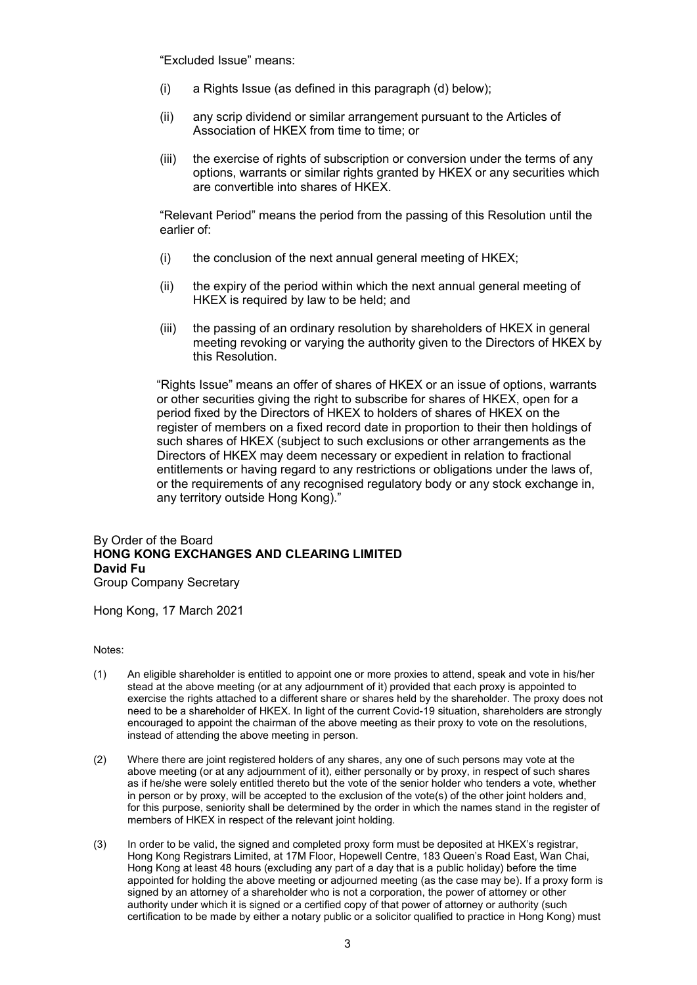"Excluded Issue" means:

- (i) a Rights Issue (as defined in this paragraph (d) below);
- (ii) any scrip dividend or similar arrangement pursuant to the Articles of Association of HKEX from time to time; or
- (iii) the exercise of rights of subscription or conversion under the terms of any options, warrants or similar rights granted by HKEX or any securities which are convertible into shares of HKEX.

"Relevant Period" means the period from the passing of this Resolution until the earlier of:

- (i) the conclusion of the next annual general meeting of HKEX;
- (ii) the expiry of the period within which the next annual general meeting of HKEX is required by law to be held; and
- (iii) the passing of an ordinary resolution by shareholders of HKEX in general meeting revoking or varying the authority given to the Directors of HKEX by this Resolution.

"Rights Issue" means an offer of shares of HKEX or an issue of options, warrants or other securities giving the right to subscribe for shares of HKEX, open for a period fixed by the Directors of HKEX to holders of shares of HKEX on the register of members on a fixed record date in proportion to their then holdings of such shares of HKEX (subject to such exclusions or other arrangements as the Directors of HKEX may deem necessary or expedient in relation to fractional entitlements or having regard to any restrictions or obligations under the laws of, or the requirements of any recognised regulatory body or any stock exchange in, any territory outside Hong Kong)."

### By Order of the Board **HONG KONG EXCHANGES AND CLEARING LIMITED David Fu** Group Company Secretary

Hong Kong, 17 March 2021

#### Notes:

- (1) An eligible shareholder is entitled to appoint one or more proxies to attend, speak and vote in his/her stead at the above meeting (or at any adjournment of it) provided that each proxy is appointed to exercise the rights attached to a different share or shares held by the shareholder. The proxy does not need to be a shareholder of HKEX. In light of the current Covid-19 situation, shareholders are strongly encouraged to appoint the chairman of the above meeting as their proxy to vote on the resolutions, instead of attending the above meeting in person.
- (2) Where there are joint registered holders of any shares, any one of such persons may vote at the above meeting (or at any adjournment of it), either personally or by proxy, in respect of such shares as if he/she were solely entitled thereto but the vote of the senior holder who tenders a vote, whether in person or by proxy, will be accepted to the exclusion of the vote(s) of the other joint holders and, for this purpose, seniority shall be determined by the order in which the names stand in the register of members of HKEX in respect of the relevant joint holding.
- (3) In order to be valid, the signed and completed proxy form must be deposited at HKEX's registrar, Hong Kong Registrars Limited, at 17M Floor, Hopewell Centre, 183 Queen's Road East, Wan Chai, Hong Kong at least 48 hours (excluding any part of a day that is a public holiday) before the time appointed for holding the above meeting or adjourned meeting (as the case may be). If a proxy form is signed by an attorney of a shareholder who is not a corporation, the power of attorney or other authority under which it is signed or a certified copy of that power of attorney or authority (such certification to be made by either a notary public or a solicitor qualified to practice in Hong Kong) must